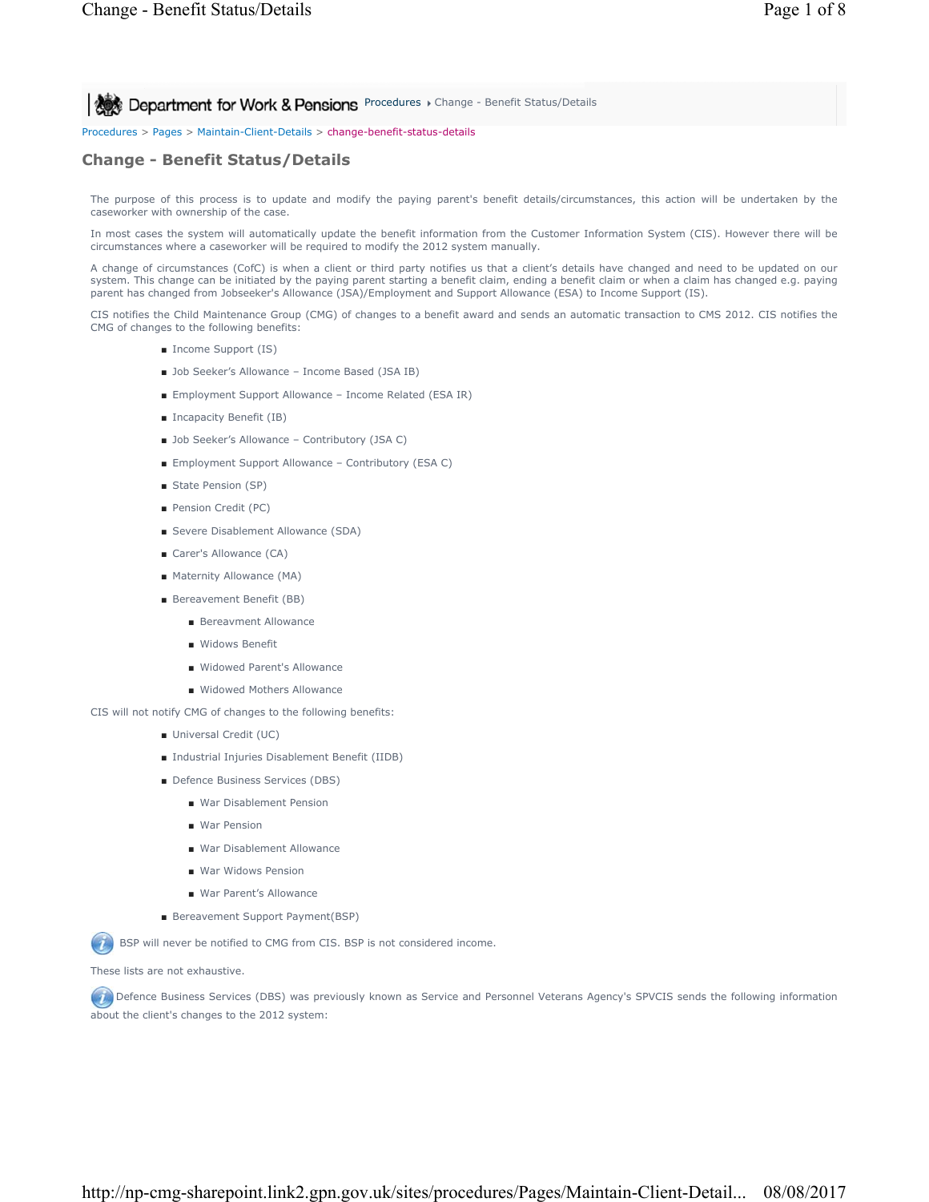**Procedures > Change - Benefit Status/Details Change - Benefit Status/Details** 

Procedures > Pages > Maintain-Client-Details > change-benefit-status-details

# **Change - Benefit Status/Details**

The purpose of this process is to update and modify the paying parent's benefit details/circumstances, this action will be undertaken by the caseworker with ownership of the case.

In most cases the system will automatically update the benefit information from the Customer Information System (CIS). However there will be circumstances where a caseworker will be required to modify the 2012 system manually.

A change of circumstances (CofC) is when a client or third party notifies us that a client's details have changed and need to be updated on our system. This change can be initiated by the paying parent starting a benefit claim, ending a benefit claim or when a claim has changed e.g. paying parent has changed from Jobseeker's Allowance (JSA)/Employment and Support Allowance (ESA) to Income Support (IS).

CIS notifies the Child Maintenance Group (CMG) of changes to a benefit award and sends an automatic transaction to CMS 2012. CIS notifies the CMG of changes to the following benefits:

- Income Support (IS)
- Job Seeker's Allowance Income Based (JSA IB)
- Employment Support Allowance Income Related (ESA IR)
- Incapacity Benefit (IB)
- Job Seeker's Allowance Contributory (JSA C)
- Employment Support Allowance Contributory (ESA C)
- State Pension (SP)
- Pension Credit (PC)
- Severe Disablement Allowance (SDA)
- Carer's Allowance (CA)
- Maternity Allowance (MA)
- Bereavement Benefit (BB)
	- Bereavment Allowance
	- Widows Benefit
	- Widowed Parent's Allowance
	- Widowed Mothers Allowance
- CIS will not notify CMG of changes to the following benefits:
	- Universal Credit (UC)
	- Industrial Injuries Disablement Benefit (IIDB)
	- Defence Business Services (DBS)
		- War Disablement Pension
		- War Pension
		- War Disablement Allowance
		- War Widows Pension
		- War Parent's Allowance
	- Bereavement Support Payment(BSP)

BSP will never be notified to CMG from CIS. BSP is not considered income.

These lists are not exhaustive.

 Defence Business Services (DBS) was previously known as Service and Personnel Veterans Agency's SPVCIS sends the following information about the client's changes to the 2012 system: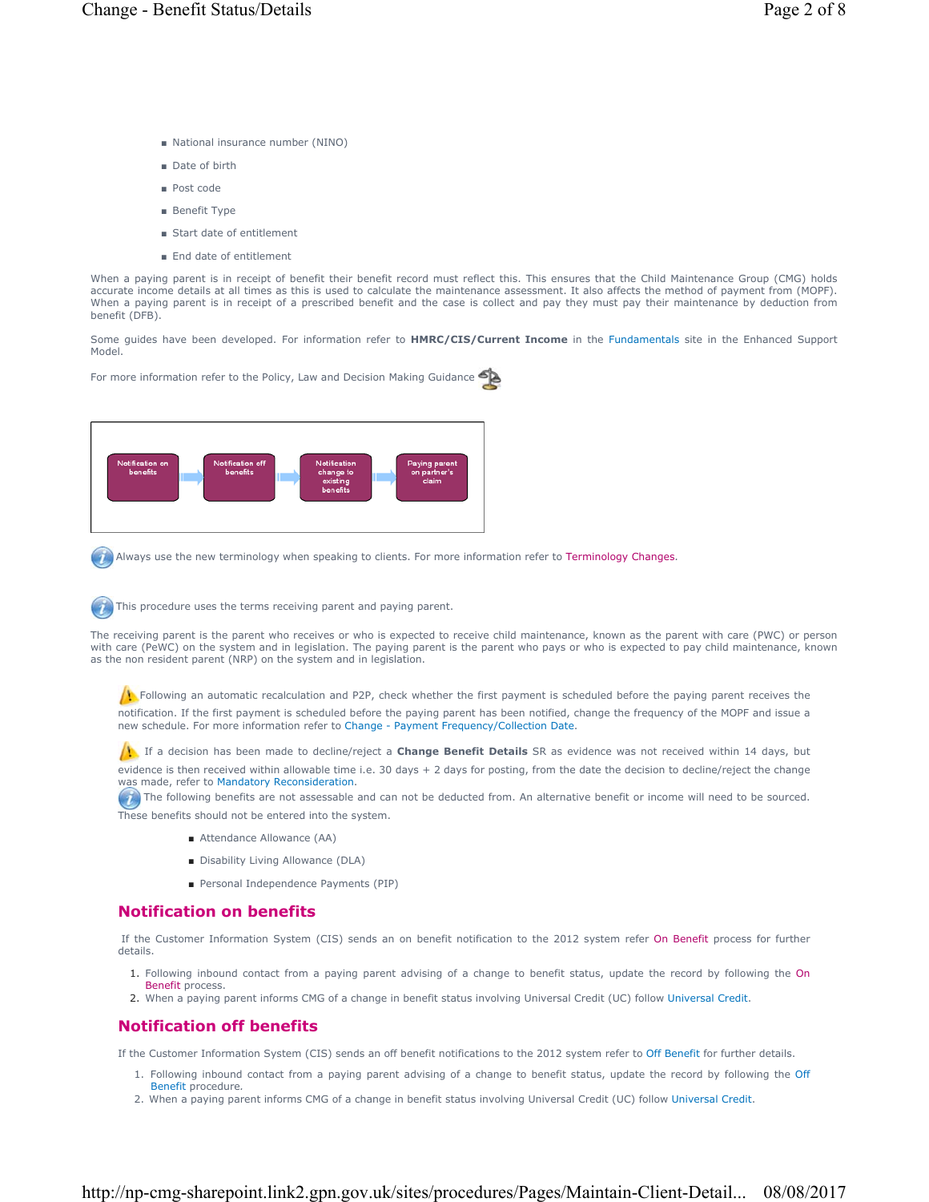- National insurance number (NINO)
- Date of birth
- Post code
- Benefit Type
- Start date of entitlement
- End date of entitlement

When a paying parent is in receipt of benefit their benefit record must reflect this. This ensures that the Child Maintenance Group (CMG) holds accurate income details at all times as this is used to calculate the maintenance assessment. It also affects the method of payment from (MOPF). When a paying parent is in receipt of a prescribed benefit and the case is collect and pay they must pay their maintenance by deduction from benefit (DFB).

Some guides have been developed. For information refer to **HMRC/CIS/Current Income** in the Fundamentals site in the Enhanced Support Model.

For more information refer to the Policy, Law and Decision Making Guidance



Always use the new terminology when speaking to clients. For more information refer to Terminology Changes.

This procedure uses the terms receiving parent and paying parent.

The receiving parent is the parent who receives or who is expected to receive child maintenance, known as the parent with care (PWC) or person with care (PeWC) on the system and in legislation. The paying parent is the parent who pays or who is expected to pay child maintenance, known as the non resident parent (NRP) on the system and in legislation.

 $\mu$  Following an automatic recalculation and P2P, check whether the first payment is scheduled before the paying parent receives the notification. If the first payment is scheduled before the paying parent has been notified, change the frequency of the MOPF and issue a new schedule. For more information refer to Change - Payment Frequency/Collection Date.

If a decision has been made to decline/reject a **Change Benefit Details** SR as evidence was not received within 14 days, but evidence is then received within allowable time i.e. 30 days + 2 days for posting, from the date the decision to decline/reject the change was made, refer to Mandatory Reconsideration.

The following benefits are not assessable and can not be deducted from. An alternative benefit or income will need to be sourced. These benefits should not be entered into the system.

- Attendance Allowance (AA)
- Disability Living Allowance (DLA)
- Personal Independence Payments (PIP)

# **Notification on benefits**

If the Customer Information System (CIS) sends an on benefit notification to the 2012 system refer On Benefit process for further details.

- 1. Following inbound contact from a paying parent advising of a change to benefit status, update the record by following the On Benefit process.
- 2. When a paying parent informs CMG of a change in benefit status involving Universal Credit (UC) follow Universal Credit.

# **Notification off benefits**

If the Customer Information System (CIS) sends an off benefit notifications to the 2012 system refer to Off Benefit for further details.

- 1. Following inbound contact from a paying parent advising of a change to benefit status, update the record by following the Off
- Benefit procedure*.* 2. When a paying parent informs CMG of a change in benefit status involving Universal Credit (UC) follow Universal Credit.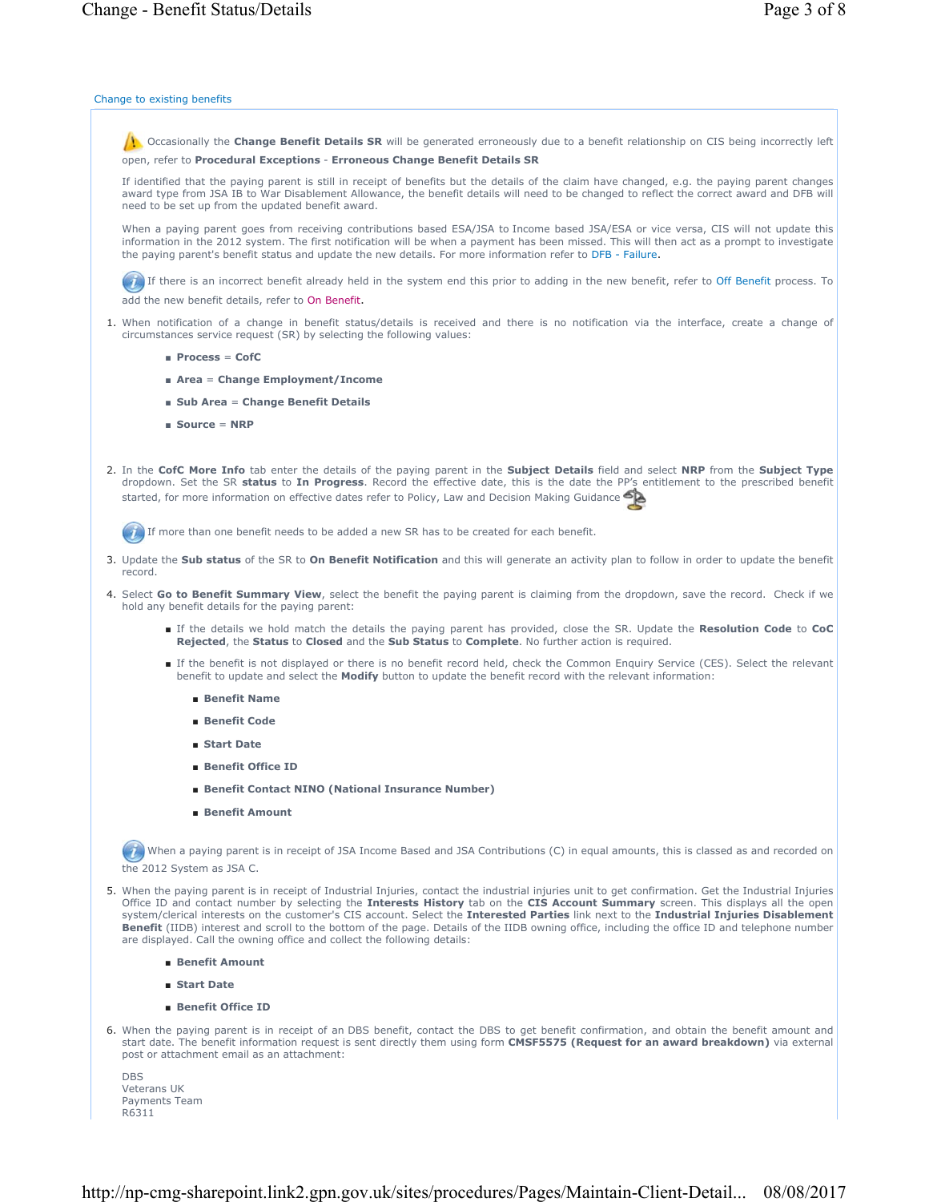### Change to existing benefits

 Occasionally the **Change Benefit Details SR** will be generated erroneously due to a benefit relationship on CIS being incorrectly left open, refer to **Procedural Exceptions** - **Erroneous Change Benefit Details SR**

If identified that the paying parent is still in receipt of benefits but the details of the claim have changed, e.g. the paying parent changes award type from JSA IB to War Disablement Allowance, the benefit details will need to be changed to reflect the correct award and DFB will need to be set up from the updated benefit award.

When a paying parent goes from receiving contributions based ESA/JSA to Income based JSA/ESA or vice versa, CIS will not update this information in the 2012 system. The first notification will be when a payment has been missed. This will then act as a prompt to investigate the paying parent's benefit status and update the new details. For more information refer to DFB - Failure.

If there is an incorrect benefit already held in the system end this prior to adding in the new benefit, refer to Off Benefit process. To

add the new benefit details, refer to On Benefit.

- 1. When notification of a change in benefit status/details is received and there is no notification via the interface, create a change of circumstances service request (SR) by selecting the following values:
	- **Process** = **CofC**
	- **Area** = **Change Employment/Income**
	- **Sub Area** = **Change Benefit Details**
	- **Source** = **NRP**
- In the **CofC More Info** tab enter the details of the paying parent in the **Subject Details** field and select **NRP** from the **Subject Type**  2. dropdown. Set the SR **status** to **In Progress**. Record the effective date, this is the date the PP's entitlement to the prescribed benefit started, for more information on effective dates refer to Policy, Law and Decision Making Guidance

If more than one benefit needs to be added a new SR has to be created for each benefit.

- 3. Update the Sub status of the SR to On Benefit Notification and this will generate an activity plan to follow in order to update the benefit record.
- 4. Select Go to Benefit Summary View, select the benefit the paying parent is claiming from the dropdown, save the record. Check if we hold any benefit details for the paying parent:
	- If the details we hold match the details the paying parent has provided, close the SR. Update the Resolution Code to CoC **Rejected**, the **Status** to **Closed** and the **Sub Status** to **Complete**. No further action is required.
	- If the benefit is not displayed or there is no benefit record held, check the Common Enquiry Service (CES). Select the relevant benefit to update and select the **Modify** button to update the benefit record with the relevant information:
		- **Benefit Name**
		- **Benefit Code**
		- **Start Date**
		- **Benefit Office ID**
		- **Benefit Contact NINO (National Insurance Number)**
		- **Benefit Amount**

When a paying parent is in receipt of JSA Income Based and JSA Contributions (C) in equal amounts, this is classed as and recorded on the 2012 System as JSA C.

- 5. When the paying parent is in receipt of Industrial Injuries, contact the industrial injuries unit to get confirmation. Get the Industrial Injuries
	- Office ID and contact number by selecting the **Interests History** tab on the **CIS Account Summary** screen. This displays all the open system/clerical interests on the customer's CIS account. Select the **Interested Parties** link next to the **Industrial Injuries Disablement Benefit** (IIDB) interest and scroll to the bottom of the page. Details of the IIDB owning office, including the office ID and telephone number are displayed. Call the owning office and collect the following details:
		- **Benefit Amount**
		- **Start Date**
		- **Benefit Office ID**
- 6. When the paying parent is in receipt of an DBS benefit, contact the DBS to get benefit confirmation, and obtain the benefit amount and start date. The benefit information request is sent directly them using form **CMSF5575 (Request for an award breakdown)** via external post or attachment email as an attachment:
	- **DBS** Veterans UK Payments Team R6311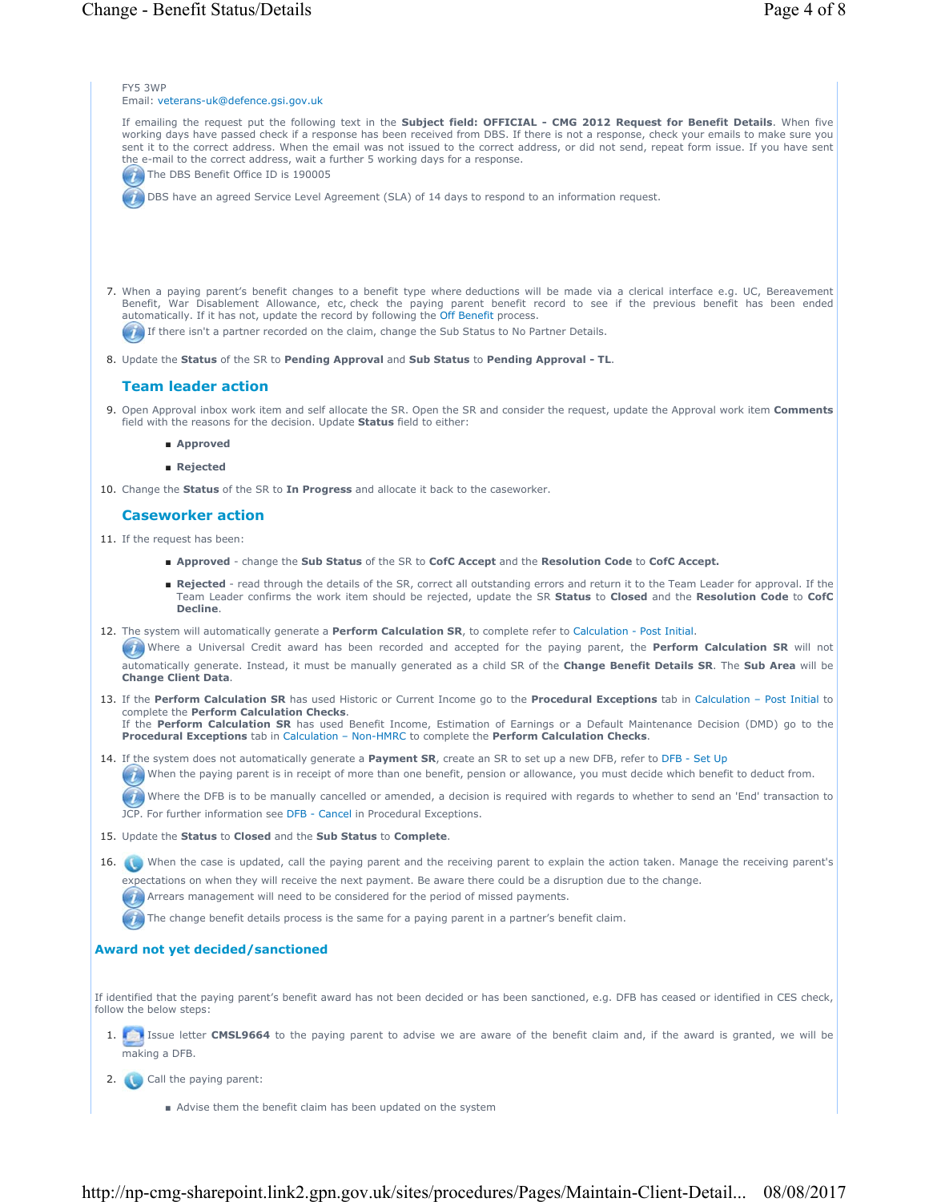FY5 3WP Email: veterans-uk@defence.gsi.gov.uk If emailing the request put the following text in the **Subject field: OFFICIAL - CMG 2012 Request for Benefit Details**. When five working days have passed check if a response has been received from DBS. If there is not a response, check your emails to make sure you sent it to the correct address. When the email was not issued to the correct address, or did not send, repeat form issue. If you have sent the e-mail to the correct address, wait a further 5 working days for a response. The DBS Benefit Office ID is 190005 DBS have an agreed Service Level Agreement (SLA) of 14 days to respond to an information request. When a paying parent's benefit changes to a benefit type where deductions will be made via a clerical interface e.g. UC, Bereavement 7. Benefit, War Disablement Allowance, etc, check the paying parent benefit record to see if the previous benefit has been ended automatically. If it has not, update the record by following the Off Benefit process. If there isn't a partner recorded on the claim, change the Sub Status to No Partner Details. 8. Update the Status of the SR to Pending Approval and Sub Status to Pending Approval - TL. **Team leader action** 9. Open Approval inbox work item and self allocate the SR. Open the SR and consider the request, update the Approval work item Comments field with the reasons for the decision. Update **Status** field to either: ■ **Approved** ■ **Rejected** 10. Change the **Status** of the SR to In Progress and allocate it back to the caseworker. **Caseworker action** 11. If the request has been: ■ **Approved** - change the **Sub Status** of the SR to **CofC Accept** and the **Resolution Code** to **CofC Accept.** ■ Rejected - read through the details of the SR, correct all outstanding errors and return it to the Team Leader for approval. If the Team Leader confirms the work item should be rejected, update the SR **Status** to **Closed** and the **Resolution Code** to **CofC Decline**. 12. The system will automatically generate a **Perform Calculation SR**, to complete refer to Calculation - Post Initial. Where a Universal Credit award has been recorded and accepted for the paying parent, the **Perform Calculation SR** will not automatically generate. Instead, it must be manually generated as a child SR of the **Change Benefit Details SR**. The **Sub Area** will be **Change Client Data**. 13. If the Perform Calculation SR has used Historic or Current Income go to the Procedural Exceptions tab in Calculation - Post Initial to complete the **Perform Calculation Checks**. If the **Perform Calculation SR** has used Benefit Income, Estimation of Earnings or a Default Maintenance Decision (DMD) go to the **Procedural Exceptions** tab in Calculation – Non-HMRC to complete the **Perform Calculation Checks**. 14. If the system does not automatically generate a **Payment SR**, create an SR to set up a new DFB, refer to DFB - Set Up When the paying parent is in receipt of more than one benefit, pension or allowance, you must decide which benefit to deduct from. Where the DFB is to be manually cancelled or amended, a decision is required with regards to whether to send an 'End' transaction to JCP. For further information see DFB - Cancel in Procedural Exceptions. 15. Update the **Status** to **Closed** and the **Sub Status** to **Complete**. 16. When the case is updated, call the paying parent and the receiving parent to explain the action taken. Manage the receiving parent's expectations on when they will receive the next payment. Be aware there could be a disruption due to the change.  $\bullet$  Arrears management will need to be considered for the period of missed payments. The change benefit details process is the same for a paying parent in a partner's benefit claim. **Award not yet decided/sanctioned** If identified that the paying parent's benefit award has not been decided or has been sanctioned, e.g. DFB has ceased or identified in CES check, follow the below steps: 1. **In the set of the CMSL9664** to the paying parent to advise we are aware of the benefit claim and, if the award is granted, we will be making a DFB. 2. Call the paying parent:

http://np-cmg-sharepoint.link2.gpn.gov.uk/sites/procedures/Pages/Maintain-Client-Detail... 08/08/2017

■ Advise them the benefit claim has been updated on the system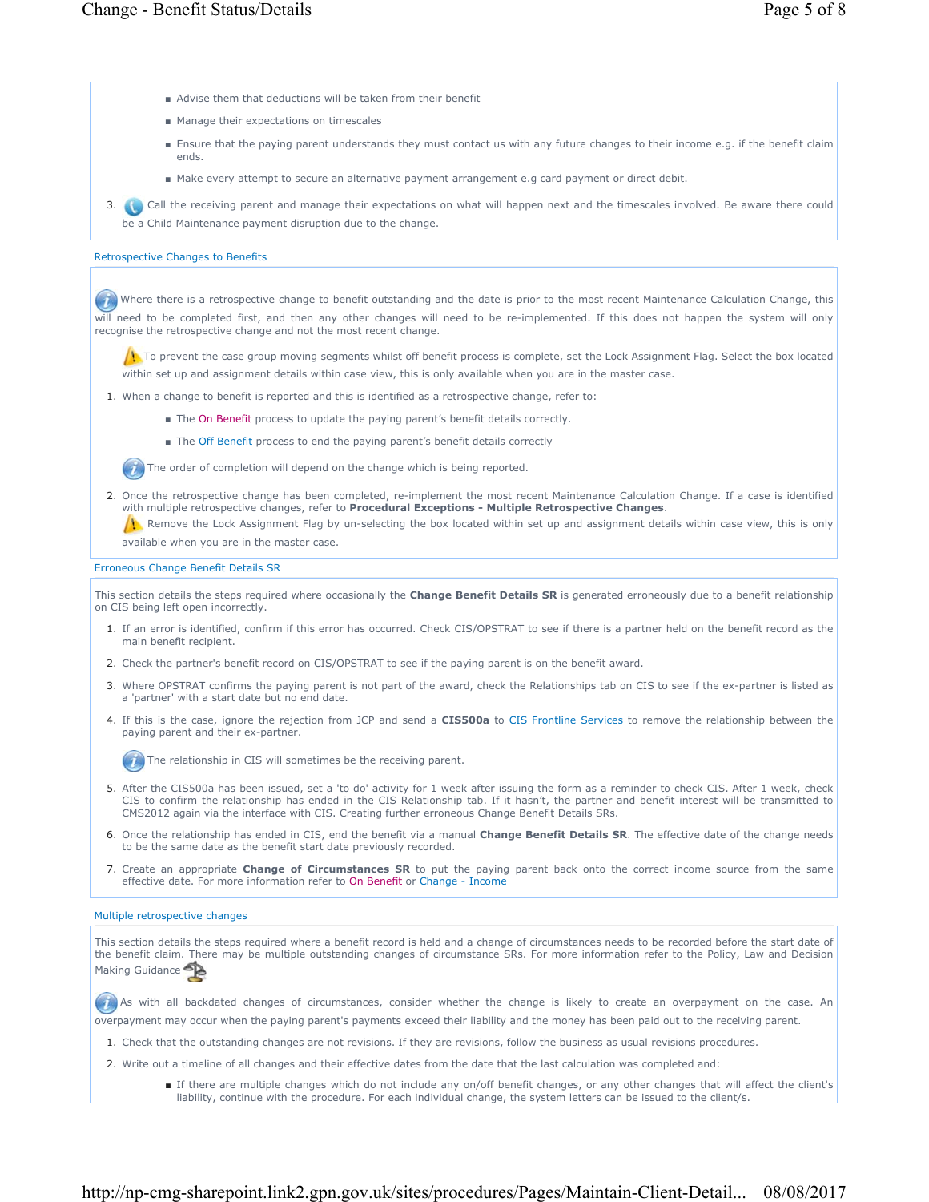- Advise them that deductions will be taken from their benefit
- Manage their expectations on timescales
- Ensure that the paying parent understands they must contact us with any future changes to their income e.g. if the benefit claim ends.
- Make every attempt to secure an alternative payment arrangement e.g card payment or direct debit.

3. **Call the receiving parent and manage their expectations on what will happen next and the timescales involved. Be aware there could** be a Child Maintenance payment disruption due to the change.

## Retrospective Changes to Benefits

Where there is a retrospective change to benefit outstanding and the date is prior to the most recent Maintenance Calculation Change, this will need to be completed first, and then any other changes will need to be re-implemented. If this does not happen the system will only recognise the retrospective change and not the most recent change.

 $\Lambda$  To prevent the case group moving segments whilst off benefit process is complete, set the Lock Assignment Flag. Select the box located within set up and assignment details within case view, this is only available when you are in the master case.

- 1. When a change to benefit is reported and this is identified as a retrospective change, refer to:
	- The On Benefit process to update the paying parent's benefit details correctly.
	- The Off Benefit process to end the paying parent's benefit details correctly

The order of completion will depend on the change which is being reported.

2. Once the retrospective change has been completed, re-implement the most recent Maintenance Calculation Change. If a case is identified with multiple retrospective changes, refer to **Procedural Exceptions - Multiple Retrospective Changes**.

**Remove the Lock Assignment Flag by un-selecting the box located within set up and assignment details within case view, this is only** available when you are in the master case.

## Erroneous Change Benefit Details SR

This section details the steps required where occasionally the **Change Benefit Details SR** is generated erroneously due to a benefit relationship on CIS being left open incorrectly.

- 1. If an error is identified, confirm if this error has occurred. Check CIS/OPSTRAT to see if there is a partner held on the benefit record as the main benefit recipient.
- 2. Check the partner's benefit record on CIS/OPSTRAT to see if the paying parent is on the benefit award.
- 3. Where OPSTRAT confirms the paying parent is not part of the award, check the Relationships tab on CIS to see if the ex-partner is listed as a 'partner' with a start date but no end date.
- 4. If this is the case, ignore the rejection from JCP and send a **CIS500a** to CIS Frontline Services to remove the relationship between the paying parent and their ex-partner.

 $(4)$  The relationship in CIS will sometimes be the receiving parent.

- 5. After the CIS500a has been issued, set a 'to do' activity for 1 week after issuing the form as a reminder to check CIS. After 1 week, check CIS to confirm the relationship has ended in the CIS Relationship tab. If it hasn't, the partner and benefit interest will be transmitted to CMS2012 again via the interface with CIS. Creating further erroneous Change Benefit Details SRs.
- 6. Once the relationship has ended in CIS, end the benefit via a manual **Change Benefit Details SR**. The effective date of the change needs to be the same date as the benefit start date previously recorded.
- 7. Create an appropriate Change of Circumstances SR to put the paying parent back onto the correct income source from the same effective date. For more information refer to On Benefit or Change - Income

# Multiple retrospective changes

This section details the steps required where a benefit record is held and a change of circumstances needs to be recorded before the start date of the benefit claim. There may be multiple outstanding changes of circumstance SRs. For more information refer to the Policy, Law and Decision Making Guidance

 As with all backdated changes of circumstances, consider whether the change is likely to create an overpayment on the case. An overpayment may occur when the paying parent's payments exceed their liability and the money has been paid out to the receiving parent.

- 1. Check that the outstanding changes are not revisions. If they are revisions, follow the business as usual revisions procedures.
- 2. Write out a timeline of all changes and their effective dates from the date that the last calculation was completed and:
	- If there are multiple changes which do not include any on/off benefit changes, or any other changes that will affect the client's liability, continue with the procedure. For each individual change, the system letters can be issued to the client/s.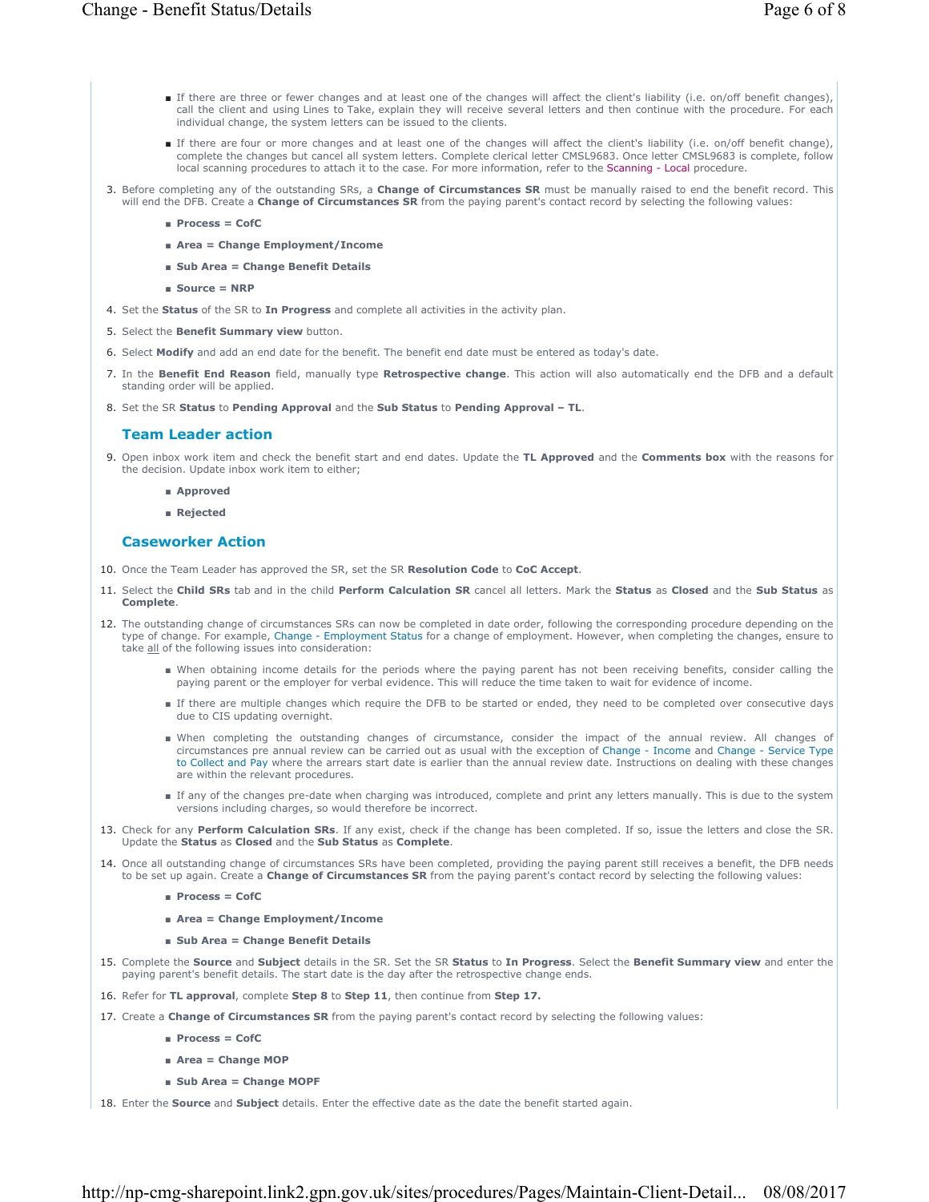- If there are three or fewer changes and at least one of the changes will affect the client's liability (i.e. on/off benefit changes), call the client and using Lines to Take, explain they will receive several letters and then continue with the procedure. For each individual change, the system letters can be issued to the clients.
- If there are four or more changes and at least one of the changes will affect the client's liability (i.e. on/off benefit change), complete the changes but cancel all system letters. Complete clerical letter CMSL9683. Once letter CMSL9683 is complete, follow local scanning procedures to attach it to the case. For more information, refer to the Scanning - Local procedure.
- 3. Before completing any of the outstanding SRs, a **Change of Circumstances SR** must be manually raised to end the benefit record. This will end the DFB. Create a **Change of Circumstances SR** from the paying parent's contact record by selecting the following values:
	- **Process = CofC**
	- **Area = Change Employment/Income**
	- **Sub Area = Change Benefit Details**
	- **Source = NRP**
- 4. Set the **Status** of the SR to **In Progress** and complete all activities in the activity plan.
- 5. Select the **Benefit Summary view** button.
- 6. Select **Modify** and add an end date for the benefit. The benefit end date must be entered as today's date.
- 7. In the Benefit End Reason field, manually type Retrospective change. This action will also automatically end the DFB and a default standing order will be applied.
- 8. Set the SR **Status** to **Pending Approval** and the Sub Status to Pending Approval TL.

## **Team Leader action**

- 9. Open inbox work item and check the benefit start and end dates. Update the TL Approved and the Comments box with the reasons for the decision. Update inbox work item to either;
	- **Approved**
	- **Rejected**

### **Caseworker Action**

- 10. Once the Team Leader has approved the SR, set the SR **Resolution Code** to **CoC Accept**.
- 11. Select the Child SRs tab and in the child Perform Calculation SR cancel all letters. Mark the Status as Closed and the Sub Status as **Complete**.
- 12. The outstanding change of circumstances SRs can now be completed in date order, following the corresponding procedure depending on the type of change. For example, Change - Employment Status for a change of employment. However, when completing the changes, ensure to take all of the following issues into consideration:
	- When obtaining income details for the periods where the paying parent has not been receiving benefits, consider calling the paying parent or the employer for verbal evidence. This will reduce the time taken to wait for evidence of income.
	- If there are multiple changes which require the DFB to be started or ended, they need to be completed over consecutive days due to CIS updating overnight.
	- When completing the outstanding changes of circumstance, consider the impact of the annual review. All changes of circumstances pre annual review can be carried out as usual with the exception of Change - Income and Change - Service Type to Collect and Pay where the arrears start date is earlier than the annual review date. Instructions on dealing with these changes are within the relevant procedures.
	- If any of the changes pre-date when charging was introduced, complete and print any letters manually. This is due to the system versions including charges, so would therefore be incorrect.
- 13. Check for any Perform Calculation SRs. If any exist, check if the change has been completed. If so, issue the letters and close the SR. Update the **Status** as **Closed** and the **Sub Status** as **Complete**.
- 14. Once all outstanding change of circumstances SRs have been completed, providing the paying parent still receives a benefit, the DFB needs to be set up again. Create a **Change of Circumstances SR** from the paying parent's contact record by selecting the following values:
	- **Process = CofC**
	- **Area = Change Employment/Income**
	- **Sub Area = Change Benefit Details**
- 15. Complete the Source and Subject details in the SR. Set the SR Status to In Progress. Select the Benefit Summary view and enter the paying parent's benefit details. The start date is the day after the retrospective change ends.
- 16. Refer for **TL approval**, complete **Step 8** to **Step 11**, then continue from **Step 17.**
- 17. Create a **Change of Circumstances SR** from the paying parent's contact record by selecting the following values:
	- **Process = CofC**
	- **Area = Change MOP**
	- **Sub Area = Change MOPF**
- 18. Enter the **Source** and **Subject** details. Enter the effective date as the date the benefit started again.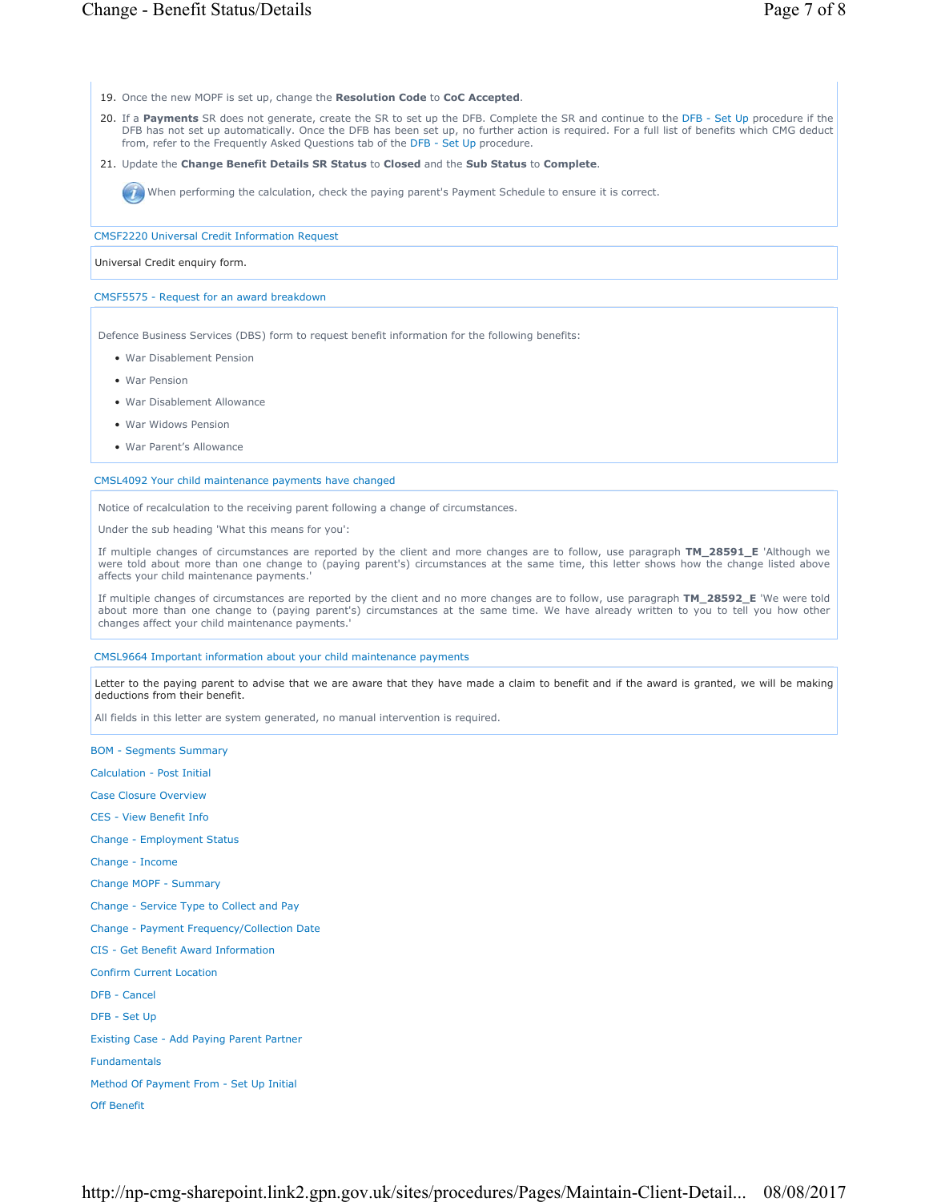- 19. Once the new MOPF is set up, change the **Resolution Code** to **CoC Accepted**.
- 20. If a Payments SR does not generate, create the SR to set up the DFB. Complete the SR and continue to the DFB Set Up procedure if the DFB has not set up automatically. Once the DFB has been set up, no further action is required. For a full list of benefits which CMG deduct from, refer to the Frequently Asked Questions tab of the DFB - Set Up procedure.
- 21. Update the Change Benefit Details SR Status to Closed and the Sub Status to Complete.

When performing the calculation, check the paying parent's Payment Schedule to ensure it is correct.

CMSF2220 Universal Credit Information Request

#### Universal Credit enquiry form.

### CMSF5575 - Request for an award breakdown

Defence Business Services (DBS) form to request benefit information for the following benefits:

- War Disablement Pension
- War Pension
- War Disablement Allowance
- War Widows Pension
- War Parent's Allowance

#### CMSL4092 Your child maintenance payments have changed

Notice of recalculation to the receiving parent following a change of circumstances.

Under the sub heading 'What this means for you':

If multiple changes of circumstances are reported by the client and more changes are to follow, use paragraph **TM\_28591\_E** 'Although we were told about more than one change to (paying parent's) circumstances at the same time, this letter shows how the change listed above affects your child maintenance payments.'

If multiple changes of circumstances are reported by the client and no more changes are to follow, use paragraph **TM\_28592\_E** 'We were told about more than one change to (paying parent's) circumstances at the same time. We have already written to you to tell you how other changes affect your child maintenance payments.'

CMSL9664 Important information about your child maintenance payments

Letter to the paying parent to advise that we are aware that they have made a claim to benefit and if the award is granted, we will be making deductions from their benefit.

All fields in this letter are system generated, no manual intervention is required.

BOM - Segments Summary

Calculation - Post Initial

Case Closure Overview

CES - View Benefit Info

Change - Employment Status

Change - Income

Change MOPF - Summary

Change - Service Type to Collect and Pay

Change - Payment Frequency/Collection Date

CIS - Get Benefit Award Information

Confirm Current Location

DFB - Cancel

DFB - Set Up

Existing Case - Add Paying Parent Partner

Fundamentals

Method Of Payment From - Set Up Initial

Off Benefit